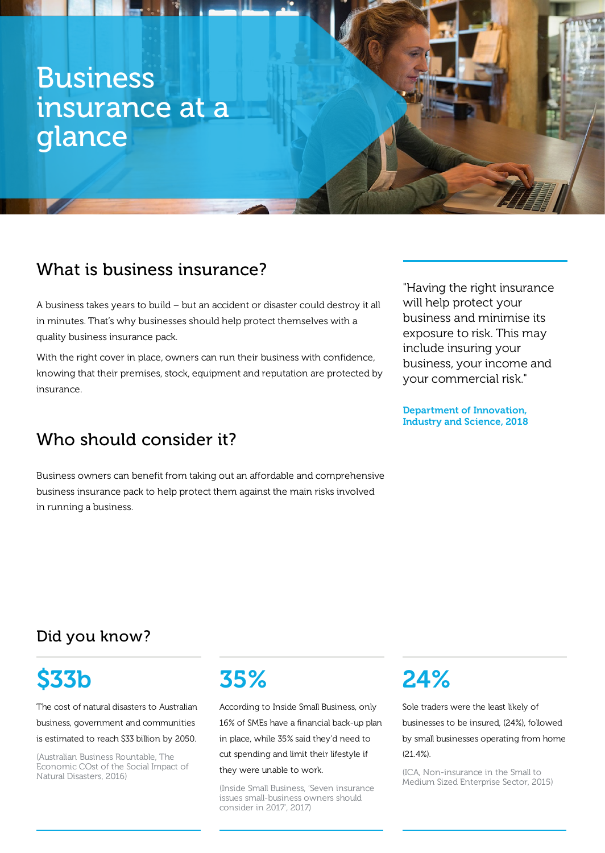# Business insurance at a glance

## What is business insurance?

A business takes years to build – but an accident or disaster could destroy it all in minutes. That's why businesses should help protect themselves with a quality business insurance pack.

With the right cover in place, owners can run their business with confidence, knowing that their premises, stock, equipment and reputation are protected by insurance.

## Who should consider it?

Business owners can benefit from taking out an affordable and comprehensive business insurance pack to help protect them against the main risks involved in running a business.

"Having the right insurance will help protect your business and minimise its exposure to risk. This may include insuring your business, your income and your commercial risk."

Department of Innovation, Industry and Science, 2018

## Did you know?

# \$33b

The cost of natural disasters to Australian business, government and communities is estimated to reach \$33 billion by 2050.

(Australian Business Rountable, The Economic COst of the Social Impact of Natural Disasters, 2016)

## 35%

According to Inside Small Business, only 16% of SMEs have a financial back-up plan in place, while 35% said they'd need to cut spending and limit their lifestyle if they were unable to work.

(Inside Small Business, 'Seven insurance issues small-business owners should consider in 2017', 2017)

# 24%

Sole traders were the least likely of businesses to be insured, (24%), followed by small businesses operating from home (21.4%).

(ICA, Non-insurance in the Small to Medium Sized Enterprise Sector, 2015)